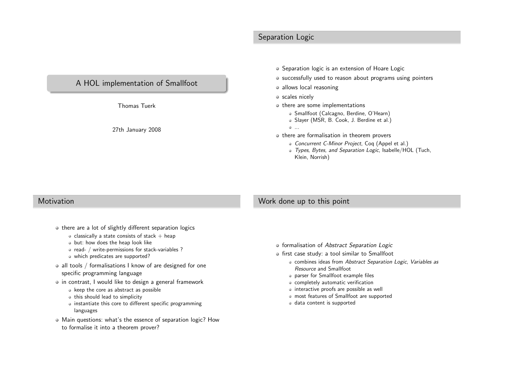# Separation Logic



Thomas Tuerk

27th January <sup>2008</sup>

- Separation logic is an extension of Hoare Logic
- successfully used to reason about programs using pointers
- allows local reasoning
- o scales nicely
- $\circ$  there are some implementations
	- Smallfoot (Calcagno, Berdine, O'Hearn)
	- Slayer (MSR, B. Cook, J. Berdine et al.)
	- ...
- $\bullet$  there are formalisation in theorem provers
	- Concurrent C-Minor Project, Coq (Appel et al.)
	- Types, Bytes, and Separation Logic, Isabelle/HOL (Tuch, Klein, Norrish)

#### **Motivation**

# Work done up to this point

- there are a lot of slightly different separation logics
	- $\bullet$  classically a state consists of stack  $+$  heap
	- but: how does the heap look like
	- read- / write-permissions for stack-variables ?
	- which predicates are supported?
- all tools / formalisations I know of are designed for one specific programming language
- in contrast, I would like to design a general framework
	- keep the core as abstract as possible
	- this should lead to simplicity
	- instantiate this core to different specific programminglanguages
- Main questions: what's the essence of separation logic? Howto formalise it into <sup>a</sup> theorem prover?
- formalisation of Abstract Separation Logic
- first case study: <sup>a</sup> tool similar to Smallfoot
	- combines ideas from Abstract Separation Logic, Variables as Resource and Smallfoot
	- parser for Smallfoot example files
	- completely automatic verification
	- interactive proofs are possible as well
	- most features of Smallfoot are supported
	- data content is supported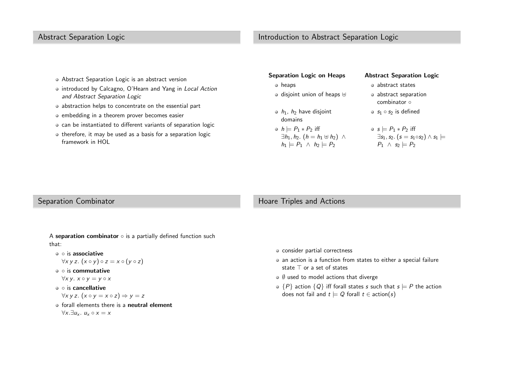# Abstract Separation Logic

# Introduction to Abstract Separation Logic

- Abstract Separation Logic is an abstract version
- introduced by Calcagno, O'Hearn and Yang in Local Action and Abstract Separation Logic
- abstraction helps to concentrate on the essential part
- embedding in <sup>a</sup> theorem prover becomes easier
- can be instantiated to different variants of separation logic
- $\bullet$  therefore, it may be used as a basis for a separation logic framework in HOL

| <b>Separation Logic on Heaps</b>                                                                                              | <b>Abstract Separation Logic</b>                                                                                                      |
|-------------------------------------------------------------------------------------------------------------------------------|---------------------------------------------------------------------------------------------------------------------------------------|
| • heaps                                                                                                                       | • abstract states                                                                                                                     |
| $\circ$ disjoint union of heaps $\uplus$                                                                                      | · abstract separation<br>combinator o                                                                                                 |
| $\bullet$ $h_1$ , $h_2$ have disjoint<br>domains                                                                              | $\bullet$ $s_1 \circ s_2$ is defined                                                                                                  |
| • $h \models P_1 * P_2$ iff<br>$\exists h_1, h_2.$ $(h = h_1 \oplus h_2)$ $\wedge$<br>$h_1 \models P_1 \land h_2 \models P_2$ | $\circ$ s $\models$ $P_1 * P_2$ iff<br>$\exists s_1, s_2.$ $(s = s_1 \circ s_2) \wedge s_1$ $\models$<br>$P_1 \wedge s_2 \models P_2$ |

### Separation Combinator

#### Hoare Triples and Actions

- A separation combinator  $\circ$  is a partially defined function such that:
	- is associative

$$
\forall x\ y\ z.\ (x\circ y)\circ z=x\circ (y\circ z)
$$

◦ is commutative

$$
\forall x\,y.\; x \circ y = y \circ x
$$

◦ is cancellative

$$
\forall x \, y \, z. \, (x \circ y = x \circ z) \Rightarrow y = z
$$

forall elements there is a **neutral element**  $\forall x. \exists u_x. u_x \circ x = x$ 

- consider partial correctness
- an action is <sup>a</sup> function from states to either <sup>a</sup> special failurestate <sup>⊤</sup> or <sup>a</sup> set of states
- $\emptyset$  used to model actions that diverge
- $\{P\}$  action  $\{Q\}$  iff forall states s such that  $s \models P$  the action does not fail and  $t\models Q$  forall  $t \in \text{action}(s)$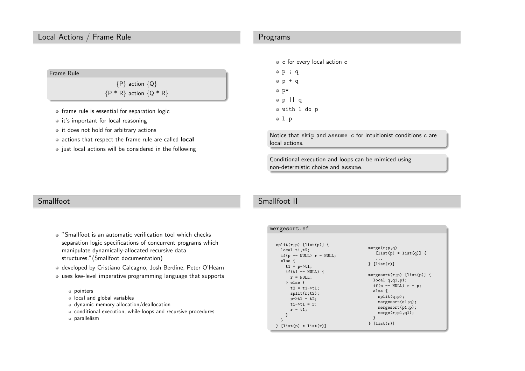# Local Actions / Frame Rule



- frame rule is essential for separation logic
- $\bullet$  it's important for local reasoning
- $\circ$  it does not hold for arbitrary actions
- actions that respect the frame rule are called **local**
- $\bullet$  just local actions will be considered in the following

### Programs

- c for every local action <sup>c</sup>
- <sup>p</sup> ; <sup>q</sup>  $p + q$ p\*<sup>p</sup> || <sup>q</sup> with <sup>l</sup> do <sup>p</sup>  $0 1.p$

Notice that skip and assume <sup>c</sup> for intuitionist conditions <sup>c</sup> are local actions.

Conditional execution and loops can be mimiced usingnon-determistic choice and assume.

# Smallfoot

"Smallfoot is an automatic verification tool which checks separation logic specifications of concurrent programs whichmanipulate dynamically-allocated recursive datastructures."(Smallfoot documentation)

developed by Cristiano Calcagno, Josh Berdine, Peter O'Hearn

- uses low-level imperative programming language that supports
	- pointers
	- local and <sup>g</sup>lobal variables
	- dynamic memory allocation/deallocation
	- conditional execution, while-loops and recursive procedures
	- parallelism

# Smallfoot II

| mergesort.sf                                                                                                                                                                                                                                                                              |                                                                                                                                                                                                                                                      |
|-------------------------------------------------------------------------------------------------------------------------------------------------------------------------------------------------------------------------------------------------------------------------------------------|------------------------------------------------------------------------------------------------------------------------------------------------------------------------------------------------------------------------------------------------------|
| $split(r;p)$ [list(p)] {<br>local t1,t2;<br>if $(p == NULL)$ $r = NULL;$<br>else f<br>$t1 = p-\t{t}$ ;<br>$if(t1 == NULL)$ {<br>$r = NULL;$<br>} else {<br>$t2 = t1 - \frac{1}{1}$<br>split(r;t2);<br>$p - > t1 = t2;$<br>$t1 - \t{t1} = r$ ;<br>$r = t1$ ;<br>ł<br>$[list(p) * list(r)]$ | merge(r;p,q)<br>$[list(p) * list(q)]$ {<br>.<br>[list(r)]<br>mergesort $(r;p)$ [list $(p)$ ] {<br>local q,q1,p1;<br>if $(p == NULL)$ $r = p$ ;<br>else f<br>split(q;p);<br>mergesort(q1;q);<br>mergesort(p1;p);<br>merge(r;p1,q1);<br>ł<br>[list(r)] |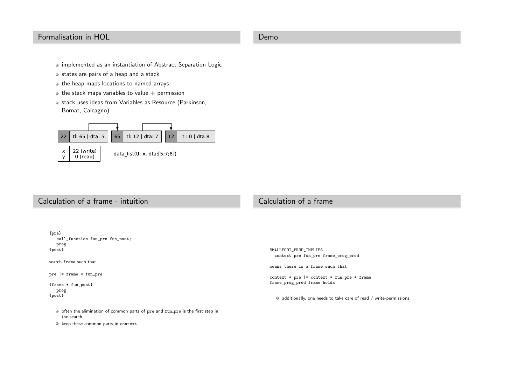# Formalisation in HOL

#### Demo

- implemented as an instantiation of Abstract Separation Logic
- states are pairs of a heap and a stack
- $\bullet$  the heap maps locations to named arrays
- $\bullet$  the stack maps variables to value  $+$  permission
- stack uses ideas from Variables as Resource (Parkinson, Bornat, Calcagno)



22 (write)  $\mathsf X$  $\mathbf{y}$ 0 (read)



# Calculation of <sup>a</sup> frame - intuition

# Calculation of <sup>a</sup> frame



keep these common parts in context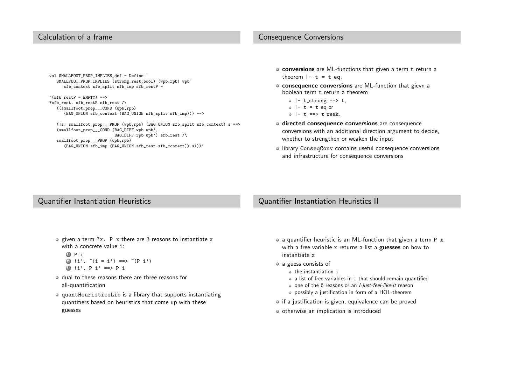### Calculation of <sup>a</sup> frame

### Consequence Conversions

val SMALLFOOT\_PROP\_IMPLIES\_def <sup>=</sup> Define ' SMALLFOOT\_PROP\_IMPLIES (strong\_rest:bool) (wpb,rpb) wpb' sfb context sfb split sfb imp sfb restP =

```
*(sfb\_restP = EMPTY) ==>
?sfb_rest. sfb_restP_sfb_rest /\
  ((smallfoot_prop___COND (wpb,rpb)
     (BAG_UNION sfb_context (BAG_UNION sfb_split sfb_imp))) ==>
```
(!s. smallfoot\_prop\_\_\_PROP (wpb,rpb) (BAG\_UNION sfb\_split sfb\_context) <sup>s</sup> ==> (smallfoot\_prop\_\_\_COND (BAG\_DIFF wp<sup>b</sup> wpb', BAG\_DIFF rp<sup>b</sup> wpb') sfb\_rest /\ smallfoot\_prop\_\_\_PROP (wpb,rpb) (BAG\_UNION sfb\_imp (BAG\_UNION sfb\_rest sfb\_context)) s)))'

- conversions are ML-functions that given a term t return a<br>... theorem  $|-$  t = t\_eq.
- consequence conversions are ML-function that <sup>g</sup>ievn <sup>a</sup>boolean term <sup>t</sup> return <sup>a</sup> theorem
	- $\circ$  |- t\_strong ==> t,
	- $\circ$  |- t = t\_eq or
	- $\circ$   $|-$  t ==> t weak.
- directed consequence conversions are consequence conversions with an additional direction argument to decide, whether to strengthen or weaken the input
- library ConseqConv contains useful consequence conversions and infrastructure for consequence conversions

### Quantifier Instantiation Heuristics

### Quantifier Instantiation Heuristics II

given a term ?x. P x there are 3 reasons to instantiate x<br>with a concrete value i : with <sup>a</sup> concrete value <sup>i</sup>:

```
1 P i
2 !i'. \tilde{ } (i = i') ==> \tilde{ } (P i')
3 !i'. P i' ==> P i
```
- dual to these reasons there are three reasons forall-quantification
- quantHeuristicsLib is <sup>a</sup> library that supports instantiating quantifiers based on heuristics that come up with theseguesses
- <sup>a</sup> quantifier heuristic is an ML-function that <sup>g</sup>iven <sup>a</sup> term <sup>P</sup> <sup>x</sup> with a free variable x returns a list a **guesses** on how to instantiate <sup>x</sup>
- a guess consists of
	- the instantiation <sup>i</sup>
	- <sup>a</sup> list of free variables in <sup>i</sup> that should remain quantified
	- one of the 6 reasons or an *I-just-feel-like-it* reason
	- possibly <sup>a</sup> justification in form of <sup>a</sup> HOL-theorem
- if <sup>a</sup> justification is <sup>g</sup>iven, equivalence can be proved
- $\circ$  otherwise an implication is introduced